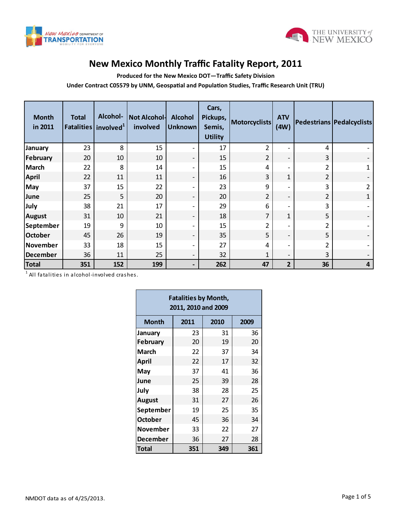



## **New Mexico Monthly Traffic Fatality Report, 2011**

**Produced for the New Mexico DOT—Traffic Safety Division**

**Under Contract C05579 by UNM, Geospatial and Population Studies, Traffic Research Unit (TRU)**

| <b>Month</b><br>in 2011 | <b>Total</b> | Alcohol-<br>Fatalities involved <sup>1</sup> | Not Alcohol-<br>involved | <b>Alcohol</b><br><b>Unknown</b> | Cars,<br>Pickups,<br>Semis,<br><b>Utility</b> | <b>Motorcyclists</b> | <b>ATV</b><br>(4W)       |    | Pedestrians   Pedalcyclists |
|-------------------------|--------------|----------------------------------------------|--------------------------|----------------------------------|-----------------------------------------------|----------------------|--------------------------|----|-----------------------------|
| January                 | 23           | 8                                            | 15                       | $\overline{\phantom{a}}$         | 17                                            | 2                    | $\overline{\phantom{a}}$ | 4  |                             |
| February                | 20           | 10                                           | 10                       | $\overline{\phantom{a}}$         | 15                                            | $\overline{2}$       | $\overline{\phantom{a}}$ | 3  |                             |
| <b>March</b>            | 22           | 8                                            | 14                       | $\overline{\phantom{a}}$         | 15                                            | 4                    | $\overline{\phantom{0}}$ | 2  | 1                           |
| <b>April</b>            | 22           | 11                                           | 11                       | $\overline{\phantom{a}}$         | 16                                            | 3                    | $\mathbf{1}$             | 2  |                             |
| <b>May</b>              | 37           | 15                                           | 22                       | $\overline{\phantom{a}}$         | 23                                            | 9                    | $\overline{\phantom{a}}$ | 3  | $\overline{2}$              |
| June                    | 25           | 5                                            | 20                       | $\overline{\phantom{a}}$         | 20                                            | 2                    | $\overline{\phantom{a}}$ | 2  | $\mathbf{1}$                |
| July                    | 38           | 21                                           | 17                       | $\overline{\phantom{a}}$         | 29                                            | 6                    | $\overline{\phantom{0}}$ | 3  |                             |
| <b>August</b>           | 31           | 10                                           | 21                       | $\overline{\phantom{a}}$         | 18                                            | 7                    | $\mathbf{1}$             | 5  |                             |
| September               | 19           | 9                                            | 10                       | $\overline{\phantom{a}}$         | 15                                            | 2                    | $\overline{\phantom{a}}$ | 2  |                             |
| October                 | 45           | 26                                           | 19                       | $\overline{\phantom{a}}$         | 35                                            | 5                    | $\overline{\phantom{a}}$ | 5  |                             |
| November                | 33           | 18                                           | 15                       | $\overline{\phantom{a}}$         | 27                                            | 4                    | $\overline{\phantom{a}}$ | 2  |                             |
| December                | 36           | 11                                           | 25                       | $\overline{\phantom{a}}$         | 32                                            | 1                    | $\overline{\phantom{a}}$ | 3  | $\overline{\phantom{0}}$    |
| <b>Total</b>            | 351          | 152                                          | 199                      | $\overline{\phantom{a}}$         | 262                                           | 47                   | $\overline{2}$           | 36 | 4                           |

 $^{\rm 1}$  All fatalities in alcohol-involved crashes.

 $\blacksquare$ 

| <b>Fatalities by Month,</b><br>2011, 2010 and 2009 |      |      |      |  |  |  |  |  |  |
|----------------------------------------------------|------|------|------|--|--|--|--|--|--|
| <b>Month</b>                                       | 2011 | 2010 | 2009 |  |  |  |  |  |  |
| January                                            | 23   | 31   | 36   |  |  |  |  |  |  |
| <b>February</b>                                    | 20   | 19   | 20   |  |  |  |  |  |  |
| <b>March</b>                                       | 22   | 37   | 34   |  |  |  |  |  |  |
| April                                              | 22   | 17   | 32   |  |  |  |  |  |  |
| May                                                | 37   | 41   | 36   |  |  |  |  |  |  |
| June                                               | 25   | 39   | 28   |  |  |  |  |  |  |
| July                                               | 38   | 28   | 25   |  |  |  |  |  |  |
| <b>August</b>                                      | 31   | 27   | 26   |  |  |  |  |  |  |
| September                                          | 19   | 25   | 35   |  |  |  |  |  |  |
| <b>October</b>                                     | 45   | 36   | 34   |  |  |  |  |  |  |
| <b>November</b>                                    | 33   | 22   | 27   |  |  |  |  |  |  |
| <b>December</b>                                    | 36   | 27   | 28   |  |  |  |  |  |  |
| Total                                              | 351  | 349  | 361  |  |  |  |  |  |  |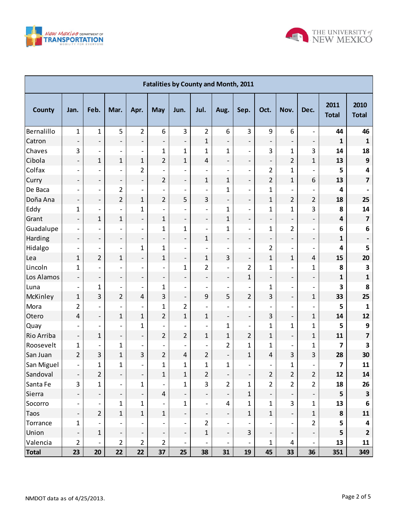



|                   | <b>Fatalities by County and Month, 2011</b> |                              |                              |                              |                              |                              |                              |                              |                              |                          |                          |                          |                         |                         |
|-------------------|---------------------------------------------|------------------------------|------------------------------|------------------------------|------------------------------|------------------------------|------------------------------|------------------------------|------------------------------|--------------------------|--------------------------|--------------------------|-------------------------|-------------------------|
| <b>County</b>     | Jan.                                        | Feb.                         | Mar.                         | Apr.                         | <b>May</b>                   | Jun.                         | Jul.                         | Aug.                         | Sep.                         | Oct.                     | Nov.                     | Dec.                     | 2011<br><b>Total</b>    | 2010<br><b>Total</b>    |
| Bernalillo        | $\mathbf{1}$                                | 1                            | 5                            | $\overline{2}$               | 6                            | 3                            | $\overline{2}$               | 6                            | 3                            | 9                        | 6                        | $\overline{\phantom{a}}$ | 44                      | 46                      |
| Catron            | $\qquad \qquad -$                           | $\overline{\phantom{a}}$     | $\overline{\phantom{a}}$     | $\overline{\phantom{a}}$     | $\qquad \qquad -$            | $\overline{\phantom{a}}$     | $\mathbf{1}$                 | $\overline{\phantom{a}}$     | $\overline{\phantom{a}}$     | $\overline{\phantom{a}}$ | $\qquad \qquad -$        | $\overline{\phantom{a}}$ | $\mathbf{1}$            | $\mathbf{1}$            |
| Chaves            | 3                                           | $\overline{\phantom{a}}$     | $\overline{\phantom{a}}$     | $\overline{\phantom{a}}$     | $\mathbf{1}$                 | $\mathbf{1}$                 | $\mathbf{1}$                 | $\mathbf{1}$                 | $\overline{\phantom{a}}$     | 3                        | $\mathbf{1}$             | 3                        | 14                      | 18                      |
| Cibola            | $\overline{\phantom{0}}$                    | 1                            | $\mathbf{1}$                 | $\mathbf{1}$                 | $\overline{2}$               | $\mathbf{1}$                 | 4                            | $\centerdot$                 | $\overline{\phantom{a}}$     | $\overline{\phantom{a}}$ | $\overline{2}$           | $\mathbf{1}$             | 13                      | $\boldsymbol{9}$        |
| Colfax            | $\overline{\phantom{a}}$                    | $\overline{\phantom{a}}$     | $\overline{\phantom{a}}$     | $\overline{2}$               | $\qquad \qquad -$            | $\overline{\phantom{a}}$     | $\overline{\phantom{0}}$     | $\overline{a}$               | $\overline{\phantom{a}}$     | $\overline{2}$           | 1                        |                          | 5                       | 4                       |
| Curry             | $\qquad \qquad -$                           | $\qquad \qquad \blacksquare$ | $\qquad \qquad \blacksquare$ | $\overline{\phantom{a}}$     | $\overline{2}$               | $\overline{\phantom{a}}$     | $\mathbf{1}$                 | 1                            | $\overline{\phantom{a}}$     | $\overline{2}$           | $\mathbf{1}$             | 6                        | 13                      | 7                       |
| De Baca           | $\overline{\phantom{a}}$                    | $\overline{\phantom{a}}$     | 2                            | $\overline{\phantom{a}}$     | $\overline{a}$               | $\qquad \qquad \blacksquare$ |                              | 1                            | $\overline{\phantom{a}}$     | $\mathbf{1}$             |                          |                          | 4                       |                         |
| Doña Ana          | $\qquad \qquad -$                           | $\overline{\phantom{a}}$     | 2                            | $\mathbf{1}$                 | $\overline{2}$               | 5                            | 3                            | $\overline{\phantom{a}}$     | $\overline{\phantom{a}}$     | $\mathbf{1}$             | $\overline{2}$           | 2                        | 18                      | 25                      |
| Eddy              | $\mathbf 1$                                 | $\overline{\phantom{a}}$     | $\overline{\phantom{a}}$     | $\mathbf{1}$                 | $\overline{a}$               | $\overline{\phantom{a}}$     | $\overline{\phantom{0}}$     | $\mathbf{1}$                 | $\overline{\phantom{a}}$     | $\mathbf{1}$             | $\mathbf 1$              | 3                        | 8                       | 14                      |
| Grant             | $\qquad \qquad -$                           | 1                            | $\mathbf{1}$                 | $\overline{\phantom{a}}$     | $\mathbf{1}$                 | $\overline{\phantom{0}}$     | $\qquad \qquad -$            | 1                            | $\overline{\phantom{a}}$     | $\overline{\phantom{a}}$ | $\qquad \qquad -$        | $\overline{\phantom{a}}$ | $\overline{\mathbf{4}}$ | $\overline{\mathbf{z}}$ |
| Guadalupe         | $\overline{\phantom{a}}$                    | $\overline{\phantom{a}}$     | $\overline{\phantom{a}}$     | $\overline{\phantom{a}}$     | $\mathbf{1}$                 | 1                            | $\overline{\phantom{0}}$     | 1                            | $\overline{\phantom{a}}$     | $\mathbf{1}$             | $\overline{2}$           | $\overline{\phantom{0}}$ | 6                       | 6                       |
| Harding           | $\qquad \qquad -$                           | $\qquad \qquad \blacksquare$ | $\overline{\phantom{a}}$     | $\overline{\phantom{a}}$     | $\qquad \qquad \blacksquare$ | $\overline{\phantom{a}}$     | $\mathbf{1}$                 | $\qquad \qquad -$            | $\overline{\phantom{a}}$     | $\overline{\phantom{a}}$ | $\overline{\phantom{a}}$ | $\overline{\phantom{0}}$ | 1                       |                         |
| Hidalgo           | $\overline{\phantom{a}}$                    | $\qquad \qquad \blacksquare$ | $\overline{\phantom{a}}$     | $\mathbf{1}$                 | $\mathbf{1}$                 | $\overline{\phantom{a}}$     | $\overline{\phantom{0}}$     | $\overline{a}$               | $\overline{\phantom{a}}$     | $\overline{2}$           | $\overline{\phantom{0}}$ |                          | 4                       | 5                       |
| Lea               | $\mathbf{1}$                                | $\overline{2}$               | $\mathbf{1}$                 | $\overline{\phantom{a}}$     | $\mathbf{1}$                 | $\overline{\phantom{a}}$     | $\mathbf{1}$                 | 3                            | $\qquad \qquad \blacksquare$ | $\mathbf{1}$             | $\mathbf{1}$             | 4                        | 15                      | 20                      |
| Lincoln           | 1                                           | $\overline{\phantom{a}}$     | $\overline{\phantom{a}}$     | $\overline{\phantom{0}}$     | $\overline{\phantom{a}}$     | $\mathbf{1}$                 | $\overline{2}$               | $\overline{a}$               | $\overline{2}$               | $\mathbf{1}$             | $\overline{\phantom{0}}$ | $\mathbf{1}$             | 8                       | 3                       |
| Los Alamos        | $\qquad \qquad -$                           | $\overline{\phantom{a}}$     | $\overline{\phantom{a}}$     | $\overline{\phantom{a}}$     | $\qquad \qquad \blacksquare$ | $\overline{\phantom{a}}$     | $\overline{\phantom{0}}$     | $\overline{\phantom{a}}$     | $\mathbf{1}$                 | $\overline{\phantom{a}}$ | $\overline{\phantom{a}}$ | $\overline{\phantom{0}}$ | 1                       | $\mathbf{1}$            |
| Luna              | $\overline{\phantom{a}}$                    | 1                            | $\qquad \qquad \blacksquare$ | $\overline{\phantom{a}}$     | $\mathbf{1}$                 | $\overline{\phantom{a}}$     | $\overline{\phantom{0}}$     | $\overline{a}$               | $\overline{\phantom{a}}$     | 1                        | $\overline{a}$           |                          | 3                       | 8                       |
| McKinley          | $\mathbf{1}$                                | 3                            | $\overline{2}$               | $\overline{4}$               | 3                            | $\overline{\phantom{a}}$     | 9                            | 5                            | $\overline{2}$               | 3                        | $\qquad \qquad -$        | $\mathbf{1}$             | 33                      | 25                      |
| Mora              | $\overline{2}$                              | $\overline{\phantom{a}}$     | $\overline{\phantom{a}}$     | $\overline{\phantom{0}}$     | $\mathbf{1}$                 | 2                            |                              |                              | $\overline{\phantom{a}}$     |                          | $\overline{a}$           |                          | 5                       | 1                       |
| Otero             | 4                                           | $\overline{\phantom{a}}$     | $\mathbf{1}$                 | $\mathbf{1}$                 | $\overline{2}$               | $\mathbf{1}$                 | $\mathbf{1}$                 | $\qquad \qquad -$            | $\overline{\phantom{a}}$     | 3                        | $\qquad \qquad -$        | $\mathbf{1}$             | 14                      | 12                      |
| <b>Quay</b>       |                                             | $\qquad \qquad \blacksquare$ | $\overline{\phantom{a}}$     | $\mathbf{1}$                 | $\qquad \qquad -$            | $\overline{\phantom{a}}$     | $\overline{a}$               | 1                            | $\overline{\phantom{a}}$     | $\mathbf{1}$             | $\mathbf{1}$             | $\mathbf{1}$             | 5                       | $\boldsymbol{9}$        |
| <b>Rio Arriba</b> | $\qquad \qquad -$                           | 1                            | $\overline{\phantom{a}}$     | $\overline{\phantom{a}}$     | $\overline{2}$               | 2                            | $\mathbf{1}$                 | 1                            | $\overline{2}$               | $\mathbf{1}$             | $\overline{\phantom{a}}$ | $\mathbf{1}$             | 11                      | 7                       |
| Roosevelt         | $\mathbf{1}$                                | $\overline{\phantom{a}}$     | $\mathbf{1}$                 | $\overline{\phantom{a}}$     | $\overline{a}$               | $\overline{a}$               |                              | $\overline{\mathbf{c}}$      | $\mathbf{1}$                 | 1                        | $\overline{\phantom{a}}$ | $\mathbf{1}$             | 7                       | 3                       |
| San Juan          | $\overline{2}$                              | 3                            | $\mathbf{1}$                 | 3                            | $\overline{2}$               | 4                            | $\overline{2}$               | $\qquad \qquad -$            | $\mathbf{1}$                 | 4                        | 3                        | 3                        | 28                      | 30                      |
| San Miguel        | $\overline{\phantom{0}}$                    | 1                            | $\mathbf{1}$                 | $\overline{\phantom{0}}$     | 1                            | $\mathbf{1}$                 | $\mathbf{1}$                 | 1                            | $\overline{\phantom{a}}$     | $\overline{\phantom{0}}$ | 1                        | $\overline{\phantom{0}}$ | 7                       | 11                      |
| Sandoval          | $\qquad \qquad -$                           | $\overline{2}$               | $\overline{\phantom{a}}$     | $\overline{\phantom{a}}$     | $\mathbf{1}$                 | $\mathbf{1}$                 | 2                            | $\qquad \qquad \blacksquare$ | Ξ,                           | $\overline{2}$           | $\overline{2}$           | $\overline{2}$           | 12                      | 14                      |
| Santa Fe          | 3                                           | 1                            | $\overline{\phantom{a}}$     | $\mathbf{1}$                 | $\qquad \qquad \blacksquare$ | $\mathbf 1$                  | $\overline{3}$               | $\overline{2}$               | $\mathbf 1$                  | $\overline{2}$           | $\overline{2}$           | $\overline{2}$           | 18                      | 26                      |
| Sierra            | $\qquad \qquad \blacksquare$                | $\overline{\phantom{a}}$     | $\overline{\phantom{a}}$     | $\qquad \qquad \blacksquare$ | $\overline{4}$               | $\overline{\phantom{a}}$     | $\overline{\phantom{0}}$     | $\qquad \qquad -$            | $\mathbf{1}$                 | $\overline{\phantom{a}}$ | $\overline{\phantom{a}}$ | $\overline{\phantom{a}}$ | 5                       | $\overline{\mathbf{3}}$ |
| Socorro           |                                             | -                            | $\mathbf 1$                  | $\mathbf{1}$                 |                              | $\mathbf 1$                  |                              | 4                            | $\mathbf 1$                  | $\mathbf{1}$             | 3                        | $\mathbf{1}$             | 13                      | $\boldsymbol{6}$        |
| <b>Taos</b>       | -                                           | $\overline{2}$               | $\mathbf{1}$                 | $\mathbf{1}$                 | $\mathbf{1}$                 | ÷                            | $\qquad \qquad \blacksquare$ | $\qquad \qquad -$            | $\mathbf{1}$                 | $\mathbf{1}$             | $\overline{\phantom{a}}$ | $\mathbf{1}$             | ${\bf 8}$               | 11                      |
| Torrance          | 1                                           | $\qquad \qquad \blacksquare$ | $\overline{\phantom{a}}$     |                              |                              | $\overline{\phantom{a}}$     | $\overline{2}$               | $\overline{\phantom{a}}$     | $\overline{\phantom{a}}$     |                          |                          | 2                        | 5                       | 4                       |
| Union             | $\qquad \qquad -$                           | $\mathbf 1$                  | $\overline{\phantom{a}}$     | $\overline{\phantom{a}}$     | $\qquad \qquad \blacksquare$ | $\overline{\phantom{a}}$     | $\mathbf{1}$                 | $\qquad \qquad -$            | 3                            | $\overline{\phantom{a}}$ | $\overline{\phantom{a}}$ | $\overline{\phantom{a}}$ | 5                       | $\mathbf{2}$            |
| Valencia          | $\overline{2}$                              | $\qquad \qquad \blacksquare$ | 2                            | $\overline{2}$               | 2                            | $\overline{\phantom{a}}$     |                              |                              | $\qquad \qquad \blacksquare$ | $\mathbf{1}$             | 4                        | -                        | 13                      | 11                      |
| <b>Total</b>      | 23                                          | 20                           | 22                           | 22                           | 37                           | 25                           | 38                           | 31                           | 19                           | 45                       | 33                       | 36                       | 351                     | 349                     |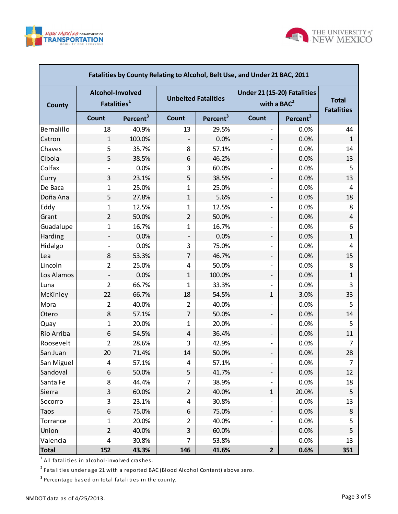



| Fatalities by County Relating to Alcohol, Belt Use, and Under 21 BAC, 2011 |                                             |                      |                            |                      |                                              |                      |                                   |  |  |  |  |
|----------------------------------------------------------------------------|---------------------------------------------|----------------------|----------------------------|----------------------|----------------------------------------------|----------------------|-----------------------------------|--|--|--|--|
| <b>County</b>                                                              | Alcohol-Involved<br>Fatalities <sup>1</sup> |                      | <b>Unbelted Fatalities</b> |                      | Under 21 (15-20) Fatalities<br>with a $BAC2$ |                      | <b>Total</b><br><b>Fatalities</b> |  |  |  |  |
|                                                                            | <b>Count</b>                                | Percent <sup>3</sup> | Count                      | Percent <sup>3</sup> | <b>Count</b>                                 | Percent <sup>3</sup> |                                   |  |  |  |  |
| Bernalillo                                                                 | 18                                          | 40.9%                | 13                         | 29.5%                |                                              | 0.0%                 | 44                                |  |  |  |  |
| Catron                                                                     | $\mathbf{1}$                                | 100.0%               | $\overline{\phantom{a}}$   | 0.0%                 | -                                            | 0.0%                 | 1                                 |  |  |  |  |
| Chaves                                                                     | 5                                           | 35.7%                | 8                          | 57.1%                |                                              | 0.0%                 | 14                                |  |  |  |  |
| Cibola                                                                     | 5                                           | 38.5%                | 6                          | 46.2%                | $\overline{\phantom{a}}$                     | 0.0%                 | 13                                |  |  |  |  |
| Colfax                                                                     |                                             | 0.0%                 | 3                          | 60.0%                |                                              | 0.0%                 | 5                                 |  |  |  |  |
| Curry                                                                      | 3                                           | 23.1%                | 5                          | 38.5%                | $\overline{\phantom{a}}$                     | 0.0%                 | 13                                |  |  |  |  |
| De Baca                                                                    | 1                                           | 25.0%                | $\mathbf{1}$               | 25.0%                |                                              | 0.0%                 | 4                                 |  |  |  |  |
| Doña Ana                                                                   | 5                                           | 27.8%                | $\mathbf{1}$               | 5.6%                 | $\overline{\phantom{a}}$                     | 0.0%                 | 18                                |  |  |  |  |
| Eddy                                                                       | $\mathbf{1}$                                | 12.5%                | 1                          | 12.5%                |                                              | 0.0%                 | 8                                 |  |  |  |  |
| Grant                                                                      | $\overline{2}$                              | 50.0%                | $\overline{2}$             | 50.0%                | $\overline{\phantom{a}}$                     | 0.0%                 | 4                                 |  |  |  |  |
| Guadalupe                                                                  | 1                                           | 16.7%                | $\mathbf{1}$               | 16.7%                |                                              | 0.0%                 | 6                                 |  |  |  |  |
| Harding                                                                    | -                                           | 0.0%                 |                            | 0.0%                 | $\overline{\phantom{a}}$                     | 0.0%                 | 1                                 |  |  |  |  |
| Hidalgo                                                                    |                                             | 0.0%                 | 3                          | 75.0%                |                                              | 0.0%                 | 4                                 |  |  |  |  |
| Lea                                                                        | 8                                           | 53.3%                | 7                          | 46.7%                | $\overline{\phantom{a}}$                     | 0.0%                 | 15                                |  |  |  |  |
| Lincoln                                                                    | $\overline{2}$                              | 25.0%                | 4                          | 50.0%                |                                              | 0.0%                 | 8                                 |  |  |  |  |
| Los Alamos                                                                 |                                             | 0.0%                 | $\mathbf{1}$               | 100.0%               | $\overline{\phantom{a}}$                     | 0.0%                 | 1                                 |  |  |  |  |
| Luna                                                                       | $\overline{2}$                              | 66.7%                | 1                          | 33.3%                |                                              | 0.0%                 | 3                                 |  |  |  |  |
| McKinley                                                                   | 22                                          | 66.7%                | 18                         | 54.5%                | $\mathbf{1}$                                 | 3.0%                 | 33                                |  |  |  |  |
| Mora                                                                       | 2                                           | 40.0%                | 2                          | 40.0%                |                                              | 0.0%                 | 5                                 |  |  |  |  |
| Otero                                                                      | 8                                           | 57.1%                | 7                          | 50.0%                | $\overline{\phantom{a}}$                     | 0.0%                 | 14                                |  |  |  |  |
| Quay                                                                       | $\mathbf{1}$                                | 20.0%                | 1                          | 20.0%                |                                              | 0.0%                 | 5                                 |  |  |  |  |
| Rio Arriba                                                                 | 6                                           | 54.5%                | 4                          | 36.4%                | -                                            | 0.0%                 | 11                                |  |  |  |  |
| Roosevelt                                                                  | 2                                           | 28.6%                | 3                          | 42.9%                |                                              | 0.0%                 | 7                                 |  |  |  |  |
| San Juan                                                                   | 20                                          | 71.4%                | 14                         | 50.0%                | -                                            | 0.0%                 | 28                                |  |  |  |  |
| San Miguel                                                                 | 4                                           | 57.1%                | 4                          | 57.1%                |                                              | 0.0%                 | 7                                 |  |  |  |  |
| Sandoval                                                                   | 6                                           | 50.0%                | 5                          | 41.7%                | -                                            | 0.0%                 | 12                                |  |  |  |  |
| Santa Fe                                                                   | 8                                           | 44.4%                | 7                          | 38.9%                |                                              | 0.0%                 | 18                                |  |  |  |  |
| Sierra                                                                     | $\ensuremath{\mathsf{3}}$                   | 60.0%                | $\overline{2}$             | 40.0%                | $\mathbf{1}$                                 | 20.0%                | 5                                 |  |  |  |  |
| Socorro                                                                    | $\mathsf 3$                                 | 23.1%                | 4                          | 30.8%                |                                              | 0.0%                 | 13                                |  |  |  |  |
| Taos                                                                       | 6                                           | 75.0%                | 6                          | 75.0%                | Ξ.                                           | 0.0%                 | 8                                 |  |  |  |  |
| Torrance                                                                   | 1                                           | 20.0%                | 2                          | 40.0%                |                                              | 0.0%                 | 5                                 |  |  |  |  |
| Union                                                                      | $\overline{2}$                              | 40.0%                | 3                          | 60.0%                | Ξ.                                           | 0.0%                 | 5                                 |  |  |  |  |
| Valencia                                                                   | $\overline{\mathbf{4}}$                     | 30.8%                | 7                          | 53.8%                |                                              | 0.0%                 | 13                                |  |  |  |  |
| <b>Total</b>                                                               | 152                                         | 43.3%                | 146                        | 41.6%                | $\mathbf{2}$                                 | 0.6%                 | 351                               |  |  |  |  |

 $^{\rm 1}$  All fatalities in alcohol-involved crashes.

 $^{\text{2}}$  Fatalities under age 21 with a reported BAC (Blood Alcohol Content) above zero.

 $^3$  Percentage based on total fatalities in the county.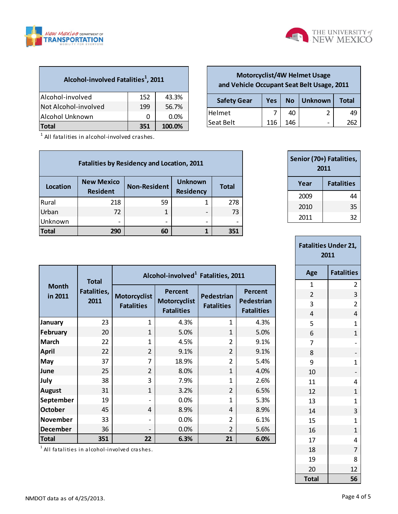

г



| Alcohol-involved Fatalities <sup>1</sup> , 2011 |     |        |
|-------------------------------------------------|-----|--------|
| Alcohol-involved                                | 152 | 43.3%  |
| Not Alcohol-involved                            | 199 | 56.7%  |
| Alcohol Unknown                                 | O   | 0.0%   |
| Total                                           | 351 | 100.0% |

 $1$  All fatalities in alcohol-involved crashes.

| <b>Fatalities by Residency and Location, 2011</b> |                                      |                     |                                    |              |  |  |  |  |  |  |
|---------------------------------------------------|--------------------------------------|---------------------|------------------------------------|--------------|--|--|--|--|--|--|
| Location                                          | <b>New Mexico</b><br><b>Resident</b> | <b>Non-Resident</b> | <b>Unknown</b><br><b>Residency</b> | <b>Total</b> |  |  |  |  |  |  |
| Rural                                             | 218                                  | 59                  |                                    | 278          |  |  |  |  |  |  |
| Urban                                             | 72                                   |                     | -                                  | 73           |  |  |  |  |  |  |
| Unknown                                           |                                      |                     |                                    |              |  |  |  |  |  |  |
| <b>Total</b>                                      | 290                                  | 60                  |                                    | 351          |  |  |  |  |  |  |

| <b>Total</b> |           |     |     |                                  |   |                   |
|--------------|-----------|-----|-----|----------------------------------|---|-------------------|
|              |           |     |     | Year                             |   | <b>Fatalities</b> |
|              |           |     |     | Senior (70+) Fatalities,<br>2011 |   |                   |
|              |           |     |     |                                  |   |                   |
|              | Seat Belt | 116 | 146 |                                  |   | 262               |
|              | Helmet    |     | 40  |                                  | 2 | 49                |

**Safety Gear Yes No Unknown Total**

**Motorcyclist/4W Helmet Usage and Vehicle Occupant Seat Belt Usage, 2011**

> 2010 35 2011 32

| <b>Fatalities Under 21,</b><br>2011 |                   |  |  |  |  |  |  |
|-------------------------------------|-------------------|--|--|--|--|--|--|
| Age                                 | <b>Fatalities</b> |  |  |  |  |  |  |
| $\overline{1}$                      | $\overline{2}$    |  |  |  |  |  |  |
| $\overline{2}$                      | 3                 |  |  |  |  |  |  |
| 3                                   | $\overline{2}$    |  |  |  |  |  |  |
| 4                                   | 4                 |  |  |  |  |  |  |
| 5                                   | $\overline{1}$    |  |  |  |  |  |  |
| 6                                   | $\overline{1}$    |  |  |  |  |  |  |
| 7                                   | $\overline{a}$    |  |  |  |  |  |  |
| 8                                   |                   |  |  |  |  |  |  |
| 9                                   | $\mathbf 1$       |  |  |  |  |  |  |
| 10                                  |                   |  |  |  |  |  |  |
| 11                                  | 4                 |  |  |  |  |  |  |
| 12                                  | $\overline{1}$    |  |  |  |  |  |  |
| 13                                  | $\overline{1}$    |  |  |  |  |  |  |
| 14                                  | 3                 |  |  |  |  |  |  |
| 15                                  | $\overline{1}$    |  |  |  |  |  |  |
| 16                                  | $\overline{1}$    |  |  |  |  |  |  |
| 17                                  | 4                 |  |  |  |  |  |  |
| 18                                  | $\overline{7}$    |  |  |  |  |  |  |
| 19                                  | 8                 |  |  |  |  |  |  |
| 20                                  | 12                |  |  |  |  |  |  |
| <b>Total</b>                        | 56                |  |  |  |  |  |  |

|                         | <b>Total</b>        | Alcohol-involved <sup>1</sup> Fatalities, 2011 |                                                     |                                 |                                            |  |  |  |  |  |
|-------------------------|---------------------|------------------------------------------------|-----------------------------------------------------|---------------------------------|--------------------------------------------|--|--|--|--|--|
| <b>Month</b><br>in 2011 | Fatalities,<br>2011 | <b>Motorcyclist</b><br><b>Fatalities</b>       | Percent<br><b>Motorcyclist</b><br><b>Fatalities</b> | Pedestrian<br><b>Fatalities</b> | Percent<br>Pedestrian<br><b>Fatalities</b> |  |  |  |  |  |
| January                 | 23                  | 1                                              | 4.3%                                                | 1                               | 4.3%                                       |  |  |  |  |  |
| February                | 20                  | $\mathbf{1}$                                   | 5.0%                                                | 1                               | 5.0%                                       |  |  |  |  |  |
| <b>March</b>            | 22                  | 1                                              | 4.5%                                                | $\mathfrak z$                   | 9.1%                                       |  |  |  |  |  |
| <b>April</b>            | 22                  | $\overline{2}$                                 | 9.1%                                                | $\overline{2}$                  | 9.1%                                       |  |  |  |  |  |
| May                     | 37                  | 7                                              | 18.9%                                               | $\overline{2}$                  | 5.4%                                       |  |  |  |  |  |
| June                    | 25                  | $\overline{2}$                                 | 8.0%                                                | 1                               | 4.0%                                       |  |  |  |  |  |
| July                    | 38                  | 3                                              | 7.9%                                                | 1                               | 2.6%                                       |  |  |  |  |  |
| <b>August</b>           | 31                  | $\mathbf{1}$                                   | 3.2%                                                | 2                               | 6.5%                                       |  |  |  |  |  |
| September               | 19                  |                                                | 0.0%                                                | 1                               | 5.3%                                       |  |  |  |  |  |
| <b>October</b>          | 45                  | 4                                              | 8.9%                                                | 4                               | 8.9%                                       |  |  |  |  |  |
| <b>November</b>         | 33                  |                                                | 0.0%                                                | $\mathfrak{p}$                  | 6.1%                                       |  |  |  |  |  |
| <b>December</b>         | 36                  |                                                | 0.0%                                                | $\mathfrak{p}$                  | 5.6%                                       |  |  |  |  |  |
| Total                   | 351                 | 22                                             | 6.3%                                                | 21                              | 6.0%                                       |  |  |  |  |  |
|                         |                     |                                                |                                                     |                                 |                                            |  |  |  |  |  |

<sup>1</sup> All fatalities in alcohol-involved crashes.